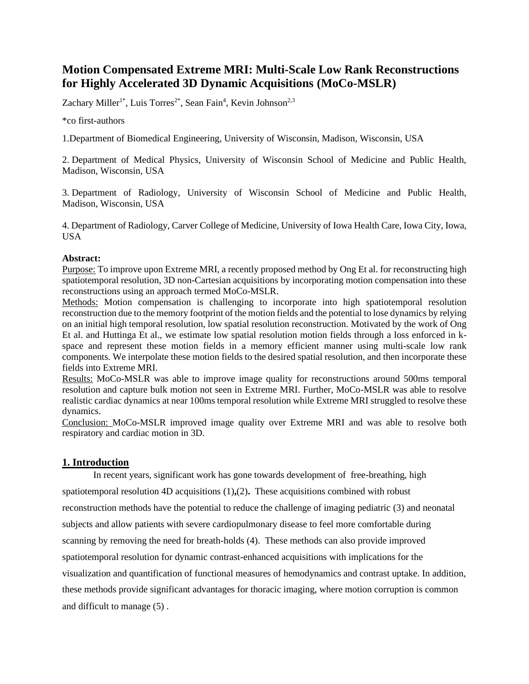# **Motion Compensated Extreme MRI: Multi-Scale Low Rank Reconstructions for Highly Accelerated 3D Dynamic Acquisitions (MoCo-MSLR)**

Zachary Miller<sup>1\*</sup>, Luis Torres<sup>2\*</sup>, Sean Fain<sup>4</sup>, Kevin Johnson<sup>2,3</sup>

\*co first-authors

1.Department of Biomedical Engineering, University of Wisconsin, Madison, Wisconsin, USA

2. Department of Medical Physics, University of Wisconsin School of Medicine and Public Health, Madison, Wisconsin, USA

3. Department of Radiology, University of Wisconsin School of Medicine and Public Health, Madison, Wisconsin, USA

4. Department of Radiology, Carver College of Medicine, University of Iowa Health Care, Iowa City, Iowa, USA

### **Abstract:**

Purpose: To improve upon Extreme MRI, a recently proposed method by Ong Et al. for reconstructing high spatiotemporal resolution, 3D non-Cartesian acquisitions by incorporating motion compensation into these reconstructions using an approach termed MoCo-MSLR.

Methods: Motion compensation is challenging to incorporate into high spatiotemporal resolution reconstruction due to the memory footprint of the motion fields and the potential to lose dynamics by relying on an initial high temporal resolution, low spatial resolution reconstruction. Motivated by the work of Ong Et al. and Huttinga Et al., we estimate low spatial resolution motion fields through a loss enforced in kspace and represent these motion fields in a memory efficient manner using multi-scale low rank components. We interpolate these motion fields to the desired spatial resolution, and then incorporate these fields into Extreme MRI.

Results: MoCo-MSLR was able to improve image quality for reconstructions around 500ms temporal resolution and capture bulk motion not seen in Extreme MRI. Further, MoCo-MSLR was able to resolve realistic cardiac dynamics at near 100ms temporal resolution while Extreme MRI struggled to resolve these dynamics.

Conclusion: MoCo-MSLR improved image quality over Extreme MRI and was able to resolve both respiratory and cardiac motion in 3D.

### **1. Introduction**

In recent years, significant work has gone towards development of free-breathing, high spatiotemporal resolution 4D acquisitions (1)**,**(2)**.** These acquisitions combined with robust reconstruction methods have the potential to reduce the challenge of imaging pediatric (3) and neonatal subjects and allow patients with severe cardiopulmonary disease to feel more comfortable during scanning by removing the need for breath-holds (4). These methods can also provide improved spatiotemporal resolution for dynamic contrast-enhanced acquisitions with implications for the visualization and quantification of functional measures of hemodynamics and contrast uptake. In addition, these methods provide significant advantages for thoracic imaging, where motion corruption is common and difficult to manage (5) .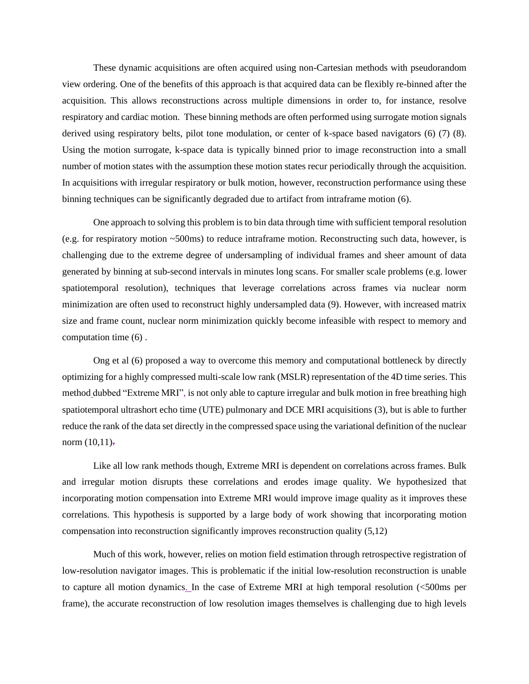These dynamic acquisitions are often acquired using non-Cartesian methods with pseudorandom view ordering. One of the benefits of this approach is that acquired data can be flexibly re-binned after the acquisition. This allows reconstructions across multiple dimensions in order to, for instance, resolve respiratory and cardiac motion. These binning methods are often performed using surrogate motion signals derived using respiratory belts, pilot tone modulation, or center of k-space based navigators (6) (7) (8). Using the motion surrogate, k-space data is typically binned prior to image reconstruction into a small number of motion states with the assumption these motion states recur periodically through the acquisition. In acquisitions with irregular respiratory or bulk motion, however, reconstruction performance using these binning techniques can be significantly degraded due to artifact from intraframe motion (6).

One approach to solving this problem is to bin data through time with sufficient temporal resolution (e.g. for respiratory motion ~500ms) to reduce intraframe motion. Reconstructing such data, however, is challenging due to the extreme degree of undersampling of individual frames and sheer amount of data generated by binning at sub-second intervals in minutes long scans. For smaller scale problems (e.g. lower spatiotemporal resolution), techniques that leverage correlations across frames via nuclear norm minimization are often used to reconstruct highly undersampled data (9). However, with increased matrix size and frame count, nuclear norm minimization quickly become infeasible with respect to memory and computation time (6) .

Ong et al (6) proposed a way to overcome this memory and computational bottleneck by directly optimizing for a highly compressed multi-scale low rank (MSLR) representation of the 4D time series. This method dubbed "Extreme MRI", is not only able to capture irregular and bulk motion in free breathing high spatiotemporal ultrashort echo time (UTE) pulmonary and DCE MRI acquisitions (3), but is able to further reduce the rank of the data set directly in the compressed space using the variational definition of the nuclear norm  $(10,11)$ .

Like all low rank methods though, Extreme MRI is dependent on correlations across frames. Bulk and irregular motion disrupts these correlations and erodes image quality. We hypothesized that incorporating motion compensation into Extreme MRI would improve image quality as it improves these correlations. This hypothesis is supported by a large body of work showing that incorporating motion compensation into reconstruction significantly improves reconstruction quality (5,12)

Much of this work, however, relies on motion field estimation through retrospective registration of low-resolution navigator images. This is problematic if the initial low-resolution reconstruction is unable to capture all motion dynamics. In the case of Extreme MRI at high temporal resolution (<500ms per frame), the accurate reconstruction of low resolution images themselves is challenging due to high levels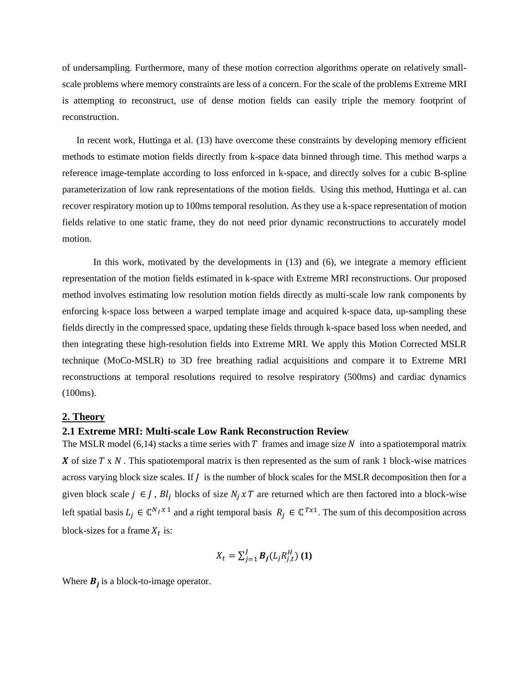of undersampling. Furthermore, many of these motion correction algorithms operate on relatively smallscale problems where memory constraints are less of a concern. For the scale of the problems Extreme MRI is attempting to reconstruct, use of dense motion fields can easily triple the memory footprint of reconstruction.

 In recent work, Huttinga et al. (13) have overcome these constraints by developing memory efficient methods to estimate motion fields directly from k-space data binned through time. This method warps a reference image-template according to loss enforced in k-space, and directly solves for a cubic B-spline parameterization of low rank representations of the motion fields. Using this method, Huttinga et al. can recover respiratory motion up to 100ms temporal resolution. As they use a k-space representation of motion fields relative to one static frame, they do not need prior dynamic reconstructions to accurately model motion.

In this work, motivated by the developments in (13) and (6), we integrate a memory efficient representation of the motion fields estimated in k-space with Extreme MRI reconstructions. Our proposed method involves estimating low resolution motion fields directly as multi-scale low rank components by enforcing k-space loss between a warped template image and acquired k-space data, up-sampling these fields directly in the compressed space, updating these fields through k-space based loss when needed, and then integrating these high-resolution fields into Extreme MRI. We apply this Motion Corrected MSLR technique (MoCo-MSLR) to 3D free breathing radial acquisitions and compare it to Extreme MRI reconstructions at temporal resolutions required to resolve respiratory (500ms) and cardiac dynamics (100ms).

#### **2. Theory**

#### **2.1 Extreme MRI: Multi-scale Low Rank Reconstruction Review**

The MSLR model (6,14) stacks a time series with T frames and image size N into a spatiotemporal matrix  $X$  of size  $T \times N$ . This spatiotemporal matrix is then represented as the sum of rank 1 block-wise matrices across varying block size scales. If  $\bar{I}$  is the number of block scales for the MSLR decomposition then for a given block scale  $j \in J$ ,  $Bl_j$  blocks of size  $N_j \times T$  are returned which are then factored into a block-wise left spatial basis  $L_j \in \mathbb{C}^{N_j \times 1}$  and a right temporal basis  $R_j \in \mathbb{C}^{T \times 1}$ . The sum of this decomposition across block-sizes for a frame  $X_t$  is:

$$
X_t = \sum_{j=1}^{J} B_j(L_j R_{j,t}^H) (1)
$$

Where  $B_j$  is a block-to-image operator.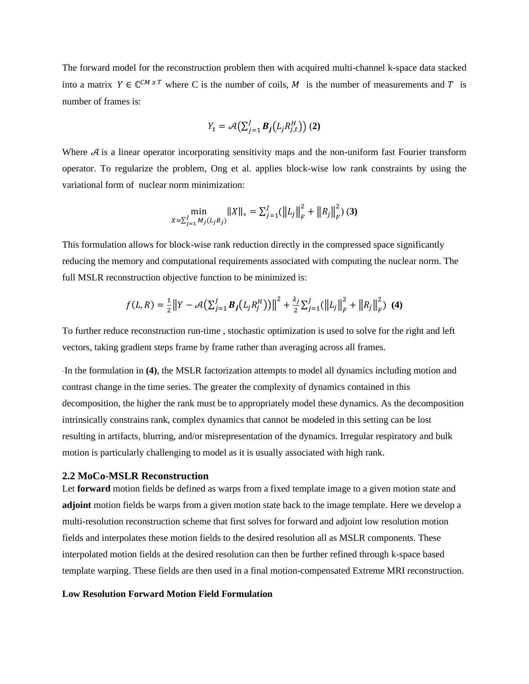The forward model for the reconstruction problem then with acquired multi-channel k-space data stacked into a matrix  $Y \in \mathbb{C}^{CM \times T}$  where C is the number of coils, M is the number of measurements and T is number of frames is:

$$
Y_t = \mathcal{A}\left(\sum_{j=1}^J \boldsymbol{B}_j\left(L_j R_{j,t}^H\right)\right)(2)
$$

Where  $A$  is a linear operator incorporating sensitivity maps and the non-uniform fast Fourier transform operator. To regularize the problem, Ong et al. applies block-wise low rank constraints by using the variational form of nuclear norm minimization:

$$
\min_{X = \sum_{j=1}^{J} M_j(L_j R_j)} \|X\|_{*} = \sum_{j=1}^{J} (||L_j||_F^2 + ||R_j||_F^2) (3)
$$

This formulation allows for block-wise rank reduction directly in the compressed space significantly reducing the memory and computational requirements associated with computing the nuclear norm. The full MSLR reconstruction objective function to be minimized is:

$$
f(L,R) = \frac{1}{2} ||Y - A(\sum_{j=1}^{J} B_j(L_j R_j^H))||^2 + \frac{\lambda_j}{2} \sum_{j=1}^{J} (||L_j||_F^2 + ||R_j||_F^2)
$$
 (4)

To further reduce reconstruction run-time , stochastic optimization is used to solve for the right and left vectors, taking gradient steps frame by frame rather than averaging across all frames.

In the formulation in **(4)**, the MSLR factorization attempts to model all dynamics including motion and contrast change in the time series. The greater the complexity of dynamics contained in this decomposition, the higher the rank must be to appropriately model these dynamics. As the decomposition intrinsically constrains rank, complex dynamics that cannot be modeled in this setting can be lost resulting in artifacts, blurring, and/or misrepresentation of the dynamics. Irregular respiratory and bulk motion is particularly challenging to model as it is usually associated with high rank.

### **2.2 MoCo-MSLR Reconstruction**

Let **forward** motion fields be defined as warps from a fixed template image to a given motion state and **adjoint** motion fields be warps from a given motion state back to the image template. Here we develop a multi-resolution reconstruction scheme that first solves for forward and adjoint low resolution motion fields and interpolates these motion fields to the desired resolution all as MSLR components. These interpolated motion fields at the desired resolution can then be further refined through k-space based template warping. These fields are then used in a final motion-compensated Extreme MRI reconstruction.

### **Low Resolution Forward Motion Field Formulation**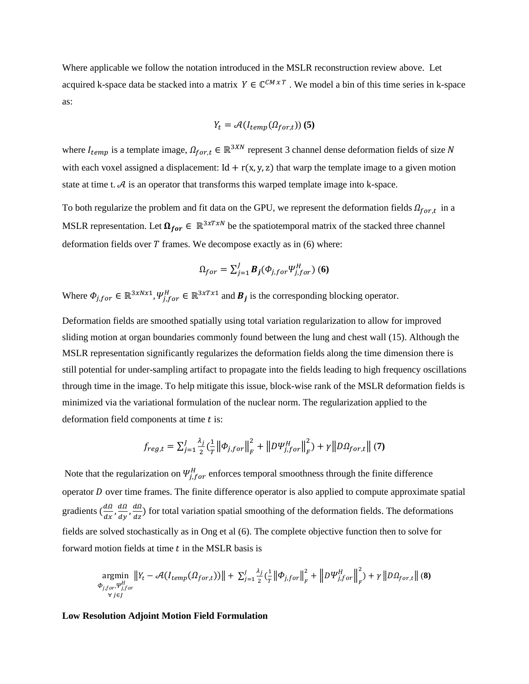Where applicable we follow the notation introduced in the MSLR reconstruction review above. Let acquired k-space data be stacked into a matrix  $Y \in \mathbb{C}^{CM \times T}$ . We model a bin of this time series in k-space as:

$$
Y_t = \mathcal{A}(I_{temp}(\Omega_{for,t}))
$$
 (5)

where  $I_{temp}$  is a template image,  $\Omega_{for,t} \in \mathbb{R}^{3XN}$  represent 3 channel dense deformation fields of size N with each voxel assigned a displacement:  $Id + r(x, y, z)$  that warp the template image to a given motion state at time t.  $A$  is an operator that transforms this warped template image into k-space.

To both regularize the problem and fit data on the GPU, we represent the deformation fields  $\Omega_{for,t}$  in a MSLR representation. Let  $\Omega_{for} \in \mathbb{R}^{3 \times T \times N}$  be the spatiotemporal matrix of the stacked three channel deformation fields over  $T$  frames. We decompose exactly as in  $(6)$  where:

$$
\Omega_{for} = \sum_{j=1}^{J} B_j(\Phi_{j,for} \Psi_{j,for}^H) (6)
$$

Where  $\Phi_{j, for} \in \mathbb{R}^{3xNx1}$ ,  $\Psi_{j, for}^H \in \mathbb{R}^{3xTx1}$  and  $B_j$  is the corresponding blocking operator.

Deformation fields are smoothed spatially using total variation regularization to allow for improved sliding motion at organ boundaries commonly found between the lung and chest wall (15). Although the MSLR representation significantly regularizes the deformation fields along the time dimension there is still potential for under-sampling artifact to propagate into the fields leading to high frequency oscillations through time in the image. To help mitigate this issue, block-wise rank of the MSLR deformation fields is minimized via the variational formulation of the nuclear norm. The regularization applied to the deformation field components at time  $t$  is:

$$
f_{reg,t} = \sum_{j=1}^{J} \frac{\lambda_j}{2} \left( \frac{1}{T} || \Phi_{j,for} ||_F^2 + || D\Psi_{j,for}^H ||_F^2 \right) + \gamma || D\Omega_{for,t} || (7)
$$

Note that the regularization on  $\Psi_{j, for}^{H}$  enforces temporal smoothness through the finite difference operator  $D$  over time frames. The finite difference operator is also applied to compute approximate spatial gradients  $\left(\frac{d\Omega}{d\mu}\right)$  $\frac{d\Omega}{dx}$ ,  $\frac{d\Omega}{dy}$  $\frac{d\Omega}{dy}, \frac{d\Omega}{dz}$  $\frac{du_2}{dz}$ ) for total variation spatial smoothing of the deformation fields. The deformations fields are solved stochastically as in Ong et al (6). The complete objective function then to solve for forward motion fields at time  $t$  in the MSLR basis is

$$
\underset{\substack{\phi_{j,for}, \Psi_{j,for}^{H} \\ \forall j \in J}}{\operatorname{argmin}} \|Y_{t} - \mathcal{A}(I_{temp}(\Omega_{for,t}))\| + \sum_{j=1}^{J} \frac{\lambda_{j}}{2} \left(\frac{1}{T} \left\|\phi_{j,for}\right\|_{F}^{2} + \left\|D\Psi_{j,for}^{H}\right\|_{F}^{2}\right) + \gamma \left\|D\Omega_{for,t}\right\|(\mathbf{8})
$$

#### **Low Resolution Adjoint Motion Field Formulation**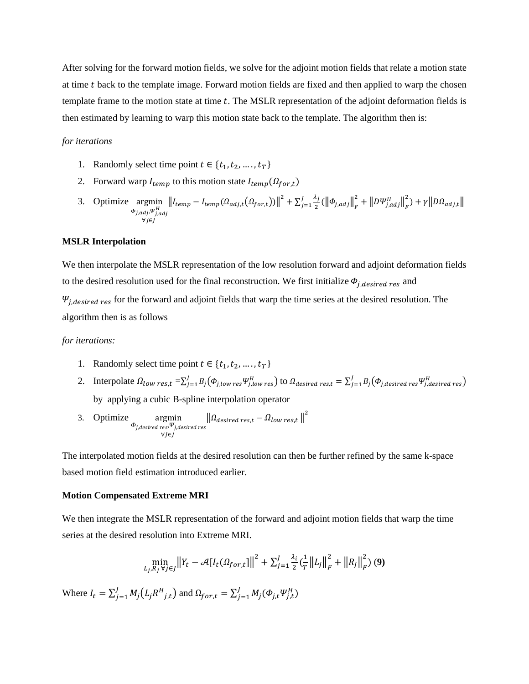After solving for the forward motion fields, we solve for the adjoint motion fields that relate a motion state at time  $t$  back to the template image. Forward motion fields are fixed and then applied to warp the chosen template frame to the motion state at time  $t$ . The MSLR representation of the adjoint deformation fields is then estimated by learning to warp this motion state back to the template. The algorithm then is:

#### *for iterations*

- 1. Randomly select time point  $t \in \{t_1, t_2, ..., t_T\}$
- 2. Forward warp  $I_{temp}$  to this motion state  $I_{temp}(\Omega_{for,t})$
- 3. Optimize argmin  $\scriptstyle{\Phi_{j,adj},\Psi_{j,adj}^H}$ ∀∈  $\left\|I_{temp} - I_{temp}(\Omega_{adj,t}(\Omega_{for,t}))\right\|^2 + \sum_{j=1}^J \frac{\lambda_j}{2}$  $\frac{y}{2}$ ( $\|\Phi_{j,adj}\|_F^2$  $\frac{2}{F} + ||D\Psi_{j,adj}^{H}||_{F}^{2}$  $\int_{j=1}^{J} \frac{\lambda_j}{2} (\left\| \Phi_{j,adj} \right\|_F^2 + \left\| D \Psi_{j,adj}^H \right\|_F^2) + \gamma \left\| D \Omega_{adj,t} \right\|_F^2$

#### **MSLR Interpolation**

We then interpolate the MSLR representation of the low resolution forward and adjoint deformation fields to the desired resolution used for the final reconstruction. We first initialize  $\Phi_{i, desired\, res}$  and  $\Psi_{i, desired\, res}$  for the forward and adjoint fields that warp the time series at the desired resolution. The algorithm then is as follows

#### *for iterations:*

- 1. Randomly select time point  $t \in \{t_1, t_2, ..., t_T\}$
- 2. Interpolate  $\Omega_{low \, res, t} = \sum_{j=1}^{J} B_j(\Phi_{j, low \, res} \Psi_{j, low \, res}^H)$  to  $\Omega_{desired \, res, t} = \sum_{j=1}^{J} B_j(\Phi_{j, desired \, res} \Psi_{j, desired \, res}^H)$ by applying a cubic B-spline interpolation operator

3. Optimize 
$$
\underset{\substack{\phi_{j,desired\,res}, \psi_{j,desired\,res} \\ \forall j \in J}}{\operatorname{argmin}} \|\Omega_{desired\, res, t} - \Omega_{low\, res, t}\|^2
$$

The interpolated motion fields at the desired resolution can then be further refined by the same k-space based motion field estimation introduced earlier.

#### **Motion Compensated Extreme MRI**

We then integrate the MSLR representation of the forward and adjoint motion fields that warp the time series at the desired resolution into Extreme MRI.

$$
\min_{L_j, R_j \,\forall j \in J} \left\| Y_t - \mathcal{A} \left[ I_t(\Omega_{for,t}) \right] \right\|^2 + \sum_{j=1}^J \frac{\lambda_i}{2} \left( \frac{1}{T} \left\| L_j \right\|_F^2 + \left\| R_j \right\|_F^2 \right) (9)
$$

Where  $I_t = \sum_{j=1}^{J} M_j (L_j R^H_{j,t})$  $\sum_{j=1}^{J} M_j (L_j R^H_{j,t})$  and  $\Omega_{for,t} = \sum_{j=1}^{J} M_j (\Phi_{j,t} \Psi_{j,t}^H)$  $j=1$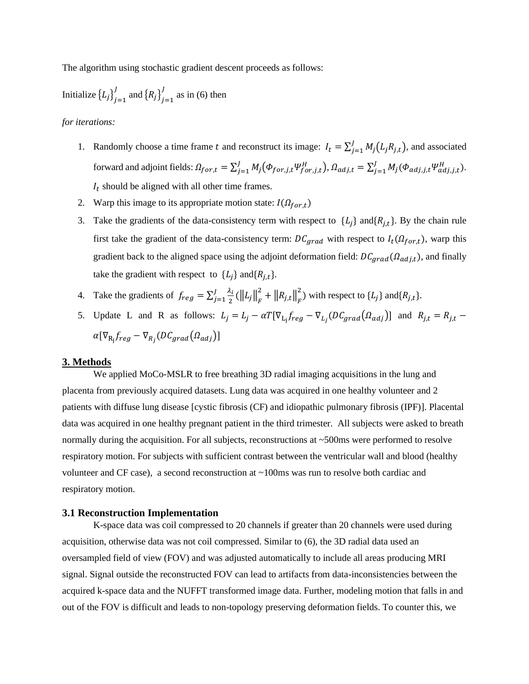The algorithm using stochastic gradient descent proceeds as follows:

Initialize  ${L_j}_{j=1}^j$  $\int_{j=1}^{J}$  and  $\{R_j\}_{j=1}^{J}$  $\int_{t=1}^{J}$  as in (6) then

*for iterations:* 

- 1. Randomly choose a time frame t and reconstruct its image:  $I_t = \sum_{j=1}^{J} M_j(L_j R_{j,t})$  $_{j=1}^{J} M_j (L_j R_{j,t})$ , and associated forward and adjoint fields:  $\Omega_{for,t} = \sum_{j=1}^{J} M_j (\Phi_{for,j,t} \Psi_{for,j,t}^H)$  $_{j=1}^{J} M_j(\phi_{for,j,t} \psi_{for,j,t}^H), \Omega_{adj,t} = \sum_{j=1}^{J} M_j(\phi_{adj,j,t} \psi_{adj,j,t}^H)$  $J_{j=1}^{J} M_j(\Phi_{adj,j,t}\Psi_{adj,j,t}^{H}).$  $I_t$  should be aligned with all other time frames.
- 2. Warp this image to its appropriate motion state:  $I(\Omega_{for,t})$
- 3. Take the gradients of the data-consistency term with respect to  $\{L_j\}$  and  $\{R_{j,t}\}$ . By the chain rule first take the gradient of the data-consistency term:  $DC_{grad}$  with respect to  $I_t(\Omega_{for,t})$ , warp this gradient back to the aligned space using the adjoint deformation field:  $DC_{grad}(\Omega_{adj,t})$ , and finally take the gradient with respect to  $\{L_j\}$  and  $\{R_{j,t}\}.$
- 4. Take the gradients of  $f_{reg} = \sum_{i=1}^{J} \frac{\lambda_i}{2}$  $\frac{\pi i}{2} (||L_j||_F^2)$  $\frac{2}{F} + ||R_{j,t}||_F^2$  $\int_{j=1}^{J} \frac{\lambda_i}{2} (||L_j||_F^2 + ||R_{j,t}||_F^2)$  with respect to  $\{L_j\}$  and  $\{R_{j,t}\}.$
- 5. Update L and R as follows:  $L_j = L_j \alpha T [\nabla_{L_j} f_{reg} \nabla_{L_j} (DC_{grad} (\Omega_{adj}))]$  and  $R_{j,t} = R_{j,t} \alpha[\nabla_{\text{R}_\text{j}} f_{reg} - \nabla_{\text{R}_\text{j}}(D \mathcal{C}_{grad}(\Omega_{adj}))]$

#### **3. Methods**

We applied MoCo-MSLR to free breathing 3D radial imaging acquisitions in the lung and placenta from previously acquired datasets. Lung data was acquired in one healthy volunteer and 2 patients with diffuse lung disease [cystic fibrosis (CF) and idiopathic pulmonary fibrosis (IPF)]. Placental data was acquired in one healthy pregnant patient in the third trimester. All subjects were asked to breath normally during the acquisition. For all subjects, reconstructions at ~500ms were performed to resolve respiratory motion. For subjects with sufficient contrast between the ventricular wall and blood (healthy volunteer and CF case), a second reconstruction at ~100ms was run to resolve both cardiac and respiratory motion.

### **3.1 Reconstruction Implementation**

K-space data was coil compressed to 20 channels if greater than 20 channels were used during acquisition, otherwise data was not coil compressed. Similar to (6), the 3D radial data used an oversampled field of view (FOV) and was adjusted automatically to include all areas producing MRI signal. Signal outside the reconstructed FOV can lead to artifacts from data-inconsistencies between the acquired k-space data and the NUFFT transformed image data. Further, modeling motion that falls in and out of the FOV is difficult and leads to non-topology preserving deformation fields. To counter this, we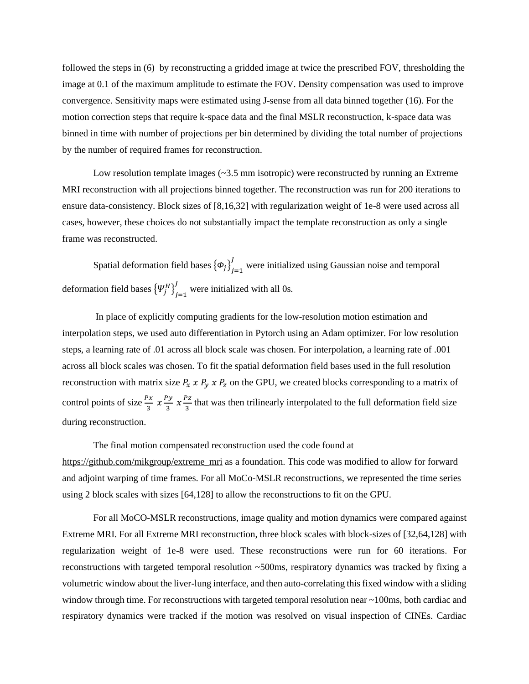followed the steps in (6) by reconstructing a gridded image at twice the prescribed FOV, thresholding the image at 0.1 of the maximum amplitude to estimate the FOV. Density compensation was used to improve convergence. Sensitivity maps were estimated using J-sense from all data binned together (16). For the motion correction steps that require k-space data and the final MSLR reconstruction, k-space data was binned in time with number of projections per bin determined by dividing the total number of projections by the number of required frames for reconstruction.

Low resolution template images  $(\sim 3.5 \text{ mm}$  isotropic) were reconstructed by running an Extreme MRI reconstruction with all projections binned together. The reconstruction was run for 200 iterations to ensure data-consistency. Block sizes of [8,16,32] with regularization weight of 1e-8 were used across all cases, however, these choices do not substantially impact the template reconstruction as only a single frame was reconstructed.

Spatial deformation field bases  $\left\{\phi_j\right\}_{j=1}^N$  $\frac{J}{I}$  were initialized using Gaussian noise and temporal deformation field bases  $\left\{\Psi_j^H\right\}_{j=1}^J$  $\frac{J}{I}$  were initialized with all 0s.

In place of explicitly computing gradients for the low-resolution motion estimation and interpolation steps, we used auto differentiation in Pytorch using an Adam optimizer. For low resolution steps, a learning rate of .01 across all block scale was chosen. For interpolation, a learning rate of .001 across all block scales was chosen. To fit the spatial deformation field bases used in the full resolution reconstruction with matrix size  $P_x$  x  $P_y$  x  $P_z$  on the GPU, we created blocks corresponding to a matrix of control points of size  $\frac{Px}{3} \times \frac{Py}{3}$  $\frac{3y}{3}$  x  $\frac{Pz}{3}$  $\frac{2}{3}$  that was then trilinearly interpolated to the full deformation field size during reconstruction.

The final motion compensated reconstruction used the code found at [https://github.com/mikgroup/extreme\\_mri](https://github.com/mikgroup/extreme_mri) as a foundation. This code was modified to allow for forward and adjoint warping of time frames. For all MoCo-MSLR reconstructions, we represented the time series using 2 block scales with sizes [64,128] to allow the reconstructions to fit on the GPU.

For all MoCO-MSLR reconstructions, image quality and motion dynamics were compared against Extreme MRI. For all Extreme MRI reconstruction, three block scales with block-sizes of [32,64,128] with regularization weight of 1e-8 were used. These reconstructions were run for 60 iterations. For reconstructions with targeted temporal resolution ~500ms, respiratory dynamics was tracked by fixing a volumetric window about the liver-lung interface, and then auto-correlating this fixed window with a sliding window through time. For reconstructions with targeted temporal resolution near ~100ms, both cardiac and respiratory dynamics were tracked if the motion was resolved on visual inspection of CINEs. Cardiac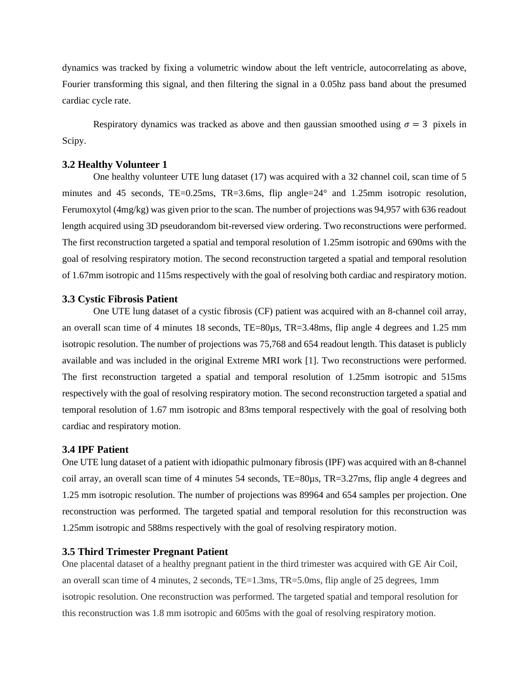dynamics was tracked by fixing a volumetric window about the left ventricle, autocorrelating as above, Fourier transforming this signal, and then filtering the signal in a 0.05hz pass band about the presumed cardiac cycle rate.

Respiratory dynamics was tracked as above and then gaussian smoothed using  $\sigma = 3$  pixels in Scipy.

### **3.2 Healthy Volunteer 1**

One healthy volunteer UTE lung dataset (17) was acquired with a 32 channel coil, scan time of 5 minutes and 45 seconds, TE=0.25ms, TR=3.6ms, flip angle=24° and 1.25mm isotropic resolution, Ferumoxytol (4mg/kg) was given prior to the scan. The number of projections was 94,957 with 636 readout length acquired using 3D pseudorandom bit-reversed view ordering. Two reconstructions were performed. The first reconstruction targeted a spatial and temporal resolution of 1.25mm isotropic and 690ms with the goal of resolving respiratory motion. The second reconstruction targeted a spatial and temporal resolution of 1.67mm isotropic and 115ms respectively with the goal of resolving both cardiac and respiratory motion.

### **3.3 Cystic Fibrosis Patient**

One UTE lung dataset of a cystic fibrosis (CF) patient was acquired with an 8-channel coil array, an overall scan time of 4 minutes 18 seconds, TE=80µs, TR=3.48ms, flip angle 4 degrees and 1.25 mm isotropic resolution. The number of projections was 75,768 and 654 readout length. This dataset is publicly available and was included in the original Extreme MRI work [1]. Two reconstructions were performed. The first reconstruction targeted a spatial and temporal resolution of 1.25mm isotropic and 515ms respectively with the goal of resolving respiratory motion. The second reconstruction targeted a spatial and temporal resolution of 1.67 mm isotropic and 83ms temporal respectively with the goal of resolving both cardiac and respiratory motion.

#### **3.4 IPF Patient**

One UTE lung dataset of a patient with idiopathic pulmonary fibrosis (IPF) was acquired with an 8-channel coil array, an overall scan time of 4 minutes 54 seconds, TE=80µs, TR=3.27ms, flip angle 4 degrees and 1.25 mm isotropic resolution. The number of projections was 89964 and 654 samples per projection. One reconstruction was performed. The targeted spatial and temporal resolution for this reconstruction was 1.25mm isotropic and 588ms respectively with the goal of resolving respiratory motion.

#### **3.5 Third Trimester Pregnant Patient**

One placental dataset of a healthy pregnant patient in the third trimester was acquired with GE Air Coil, an overall scan time of 4 minutes, 2 seconds, TE=1.3ms, TR=5.0ms, flip angle of 25 degrees, 1mm isotropic resolution. One reconstruction was performed. The targeted spatial and temporal resolution for this reconstruction was 1.8 mm isotropic and 605ms with the goal of resolving respiratory motion.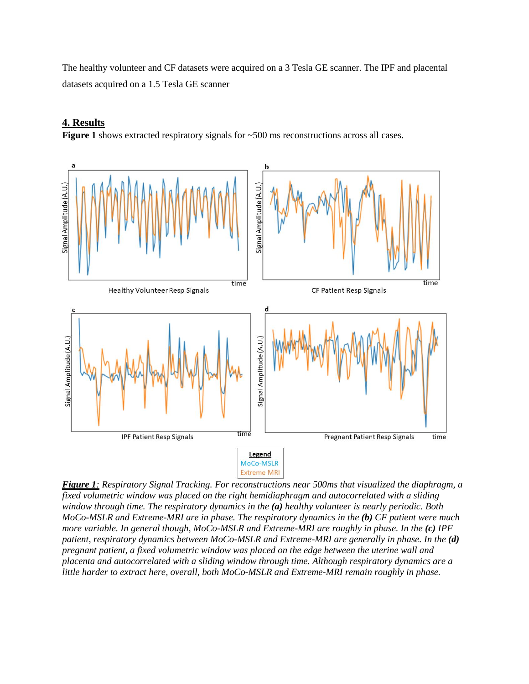The healthy volunteer and CF datasets were acquired on a 3 Tesla GE scanner. The IPF and placental datasets acquired on a 1.5 Tesla GE scanner



# **4. Results**

**Figure 1** shows extracted respiratory signals for  $\sim$  500 ms reconstructions across all cases.

*Figure 1: Respiratory Signal Tracking. For reconstructions near 500ms that visualized the diaphragm, a fixed volumetric window was placed on the right hemidiaphragm and autocorrelated with a sliding window through time. The respiratory dynamics in the (a) healthy volunteer is nearly periodic. Both MoCo-MSLR and Extreme-MRI are in phase. The respiratory dynamics in the (b) CF patient were much more variable. In general though, MoCo-MSLR and Extreme-MRI are roughly in phase. In the (c) IPF patient, respiratory dynamics between MoCo-MSLR and Extreme-MRI are generally in phase. In the (d) pregnant patient, a fixed volumetric window was placed on the edge between the uterine wall and placenta and autocorrelated with a sliding window through time. Although respiratory dynamics are a little harder to extract here, overall, both MoCo-MSLR and Extreme-MRI remain roughly in phase.*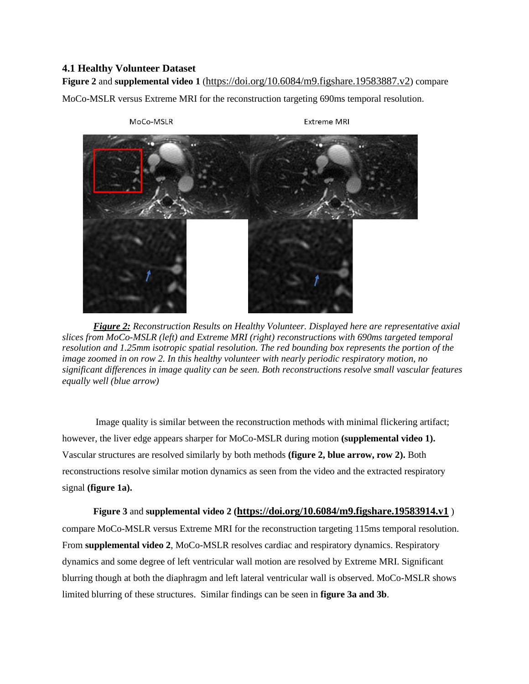# **4.1 Healthy Volunteer Dataset**

**Figure 2** and **supplemental video 1** (<https://doi.org/10.6084/m9.figshare.19583887.v2>) compare

MoCo-MSLR versus Extreme MRI for the reconstruction targeting 690ms temporal resolution.



*Figure 2: Reconstruction Results on Healthy Volunteer. Displayed here are representative axial slices from MoCo-MSLR (left) and Extreme MRI (right) reconstructions with 690ms targeted temporal resolution and 1.25mm isotropic spatial resolution. The red bounding box represents the portion of the image zoomed in on row 2. In this healthy volunteer with nearly periodic respiratory motion, no significant differences in image quality can be seen. Both reconstructions resolve small vascular features equally well (blue arrow)*

Image quality is similar between the reconstruction methods with minimal flickering artifact; however, the liver edge appears sharper for MoCo-MSLR during motion **(supplemental video 1).** Vascular structures are resolved similarly by both methods **(figure 2, blue arrow, row 2).** Both reconstructions resolve similar motion dynamics as seen from the video and the extracted respiratory signal **(figure 1a).**

**Figure 3** and **supplemental video 2 (<https://doi.org/10.6084/m9.figshare.19583914.v1>** ) compare MoCo-MSLR versus Extreme MRI for the reconstruction targeting 115ms temporal resolution. From **supplemental video 2**, MoCo-MSLR resolves cardiac and respiratory dynamics. Respiratory dynamics and some degree of left ventricular wall motion are resolved by Extreme MRI. Significant blurring though at both the diaphragm and left lateral ventricular wall is observed. MoCo-MSLR shows limited blurring of these structures. Similar findings can be seen in **figure 3a and 3b**.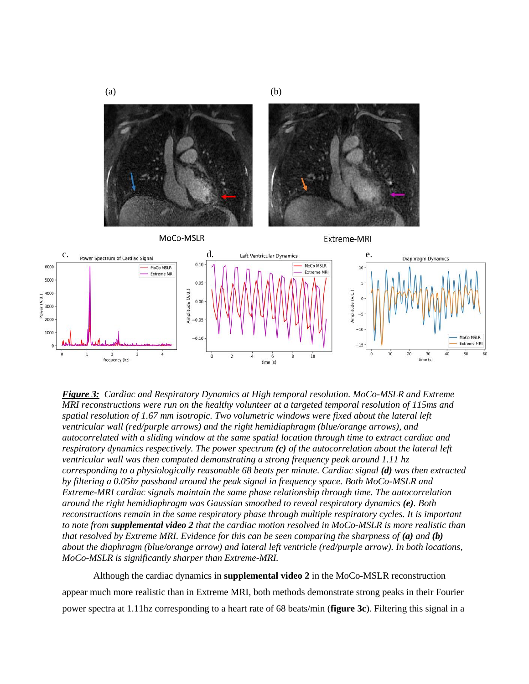

*Figure 3: Cardiac and Respiratory Dynamics at High temporal resolution. MoCo-MSLR and Extreme MRI reconstructions were run on the healthy volunteer at a targeted temporal resolution of 115ms and spatial resolution of 1.67 mm isotropic. Two volumetric windows were fixed about the lateral left ventricular wall (red/purple arrows) and the right hemidiaphragm (blue/orange arrows), and autocorrelated with a sliding window at the same spatial location through time to extract cardiac and respiratory dynamics respectively. The power spectrum (c) of the autocorrelation about the lateral left ventricular wall was then computed demonstrating a strong frequency peak around 1.11 hz corresponding to a physiologically reasonable 68 beats per minute. Cardiac signal (d) was then extracted by filtering a 0.05hz passband around the peak signal in frequency space. Both MoCo-MSLR and Extreme-MRI cardiac signals maintain the same phase relationship through time. The autocorrelation around the right hemidiaphragm was Gaussian smoothed to reveal respiratory dynamics (e). Both reconstructions remain in the same respiratory phase through multiple respiratory cycles. It is important to note from supplemental video 2 that the cardiac motion resolved in MoCo-MSLR is more realistic than that resolved by Extreme MRI. Evidence for this can be seen comparing the sharpness of*  $(a)$  *and*  $(b)$ *about the diaphragm (blue/orange arrow) and lateral left ventricle (red/purple arrow). In both locations, MoCo-MSLR is significantly sharper than Extreme-MRI.* 

Although the cardiac dynamics in **supplemental video 2** in the MoCo-MSLR reconstruction appear much more realistic than in Extreme MRI, both methods demonstrate strong peaks in their Fourier power spectra at 1.11hz corresponding to a heart rate of 68 beats/min (**figure 3c**). Filtering this signal in a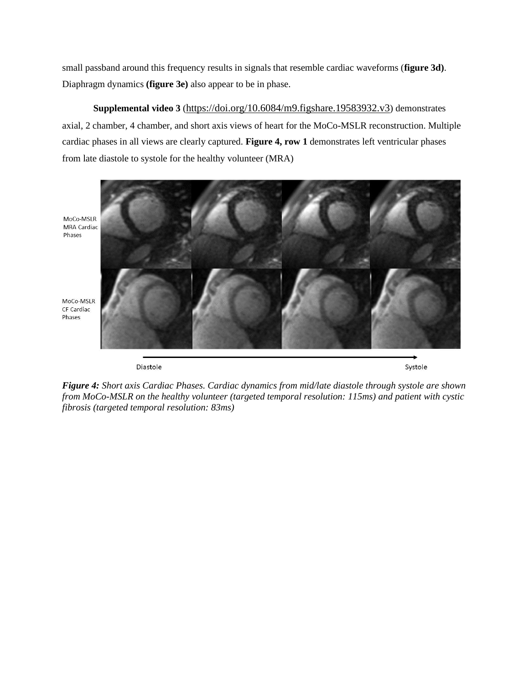small passband around this frequency results in signals that resemble cardiac waveforms (**figure 3d)**. Diaphragm dynamics **(figure 3e)** also appear to be in phase.

**Supplemental video 3** (<https://doi.org/10.6084/m9.figshare.19583932.v3>) demonstrates axial, 2 chamber, 4 chamber, and short axis views of heart for the MoCo-MSLR reconstruction. Multiple cardiac phases in all views are clearly captured. **Figure 4, row 1** demonstrates left ventricular phases from late diastole to systole for the healthy volunteer (MRA)



Diastole

Systole

*Figure 4: Short axis Cardiac Phases. Cardiac dynamics from mid/late diastole through systole are shown from MoCo-MSLR on the healthy volunteer (targeted temporal resolution: 115ms) and patient with cystic fibrosis (targeted temporal resolution: 83ms)*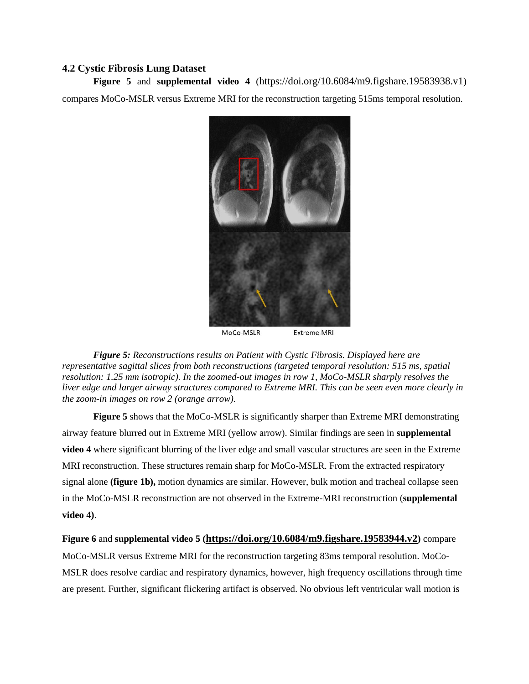### **4.2 Cystic Fibrosis Lung Dataset**

**Figure 5** and **supplemental video 4** (<https://doi.org/10.6084/m9.figshare.19583938.v1>)

compares MoCo-MSLR versus Extreme MRI for the reconstruction targeting 515ms temporal resolution.



*Figure 5: Reconstructions results on Patient with Cystic Fibrosis. Displayed here are representative sagittal slices from both reconstructions (targeted temporal resolution: 515 ms, spatial resolution: 1.25 mm isotropic). In the zoomed-out images in row 1, MoCo-MSLR sharply resolves the liver edge and larger airway structures compared to Extreme MRI. This can be seen even more clearly in the zoom-in images on row 2 (orange arrow).*

**Figure 5** shows that the MoCo-MSLR is significantly sharper than Extreme MRI demonstrating airway feature blurred out in Extreme MRI (yellow arrow). Similar findings are seen in **supplemental video 4** where significant blurring of the liver edge and small vascular structures are seen in the Extreme MRI reconstruction. These structures remain sharp for MoCo-MSLR. From the extracted respiratory signal alone **(figure 1b),** motion dynamics are similar. However, bulk motion and tracheal collapse seen in the MoCo-MSLR reconstruction are not observed in the Extreme-MRI reconstruction (**supplemental video 4)**.

**Figure 6** and **supplemental video 5 (<https://doi.org/10.6084/m9.figshare.19583944.v2>)** compare MoCo-MSLR versus Extreme MRI for the reconstruction targeting 83ms temporal resolution. MoCo-MSLR does resolve cardiac and respiratory dynamics, however, high frequency oscillations through time are present. Further, significant flickering artifact is observed. No obvious left ventricular wall motion is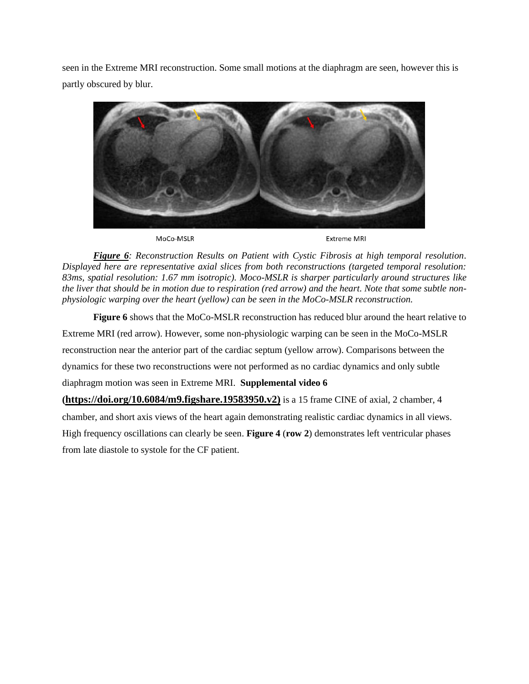seen in the Extreme MRI reconstruction. Some small motions at the diaphragm are seen, however this is partly obscured by blur.



MoCo-MSLR

from late diastole to systole for the CF patient.

**Extreme MRI** 

*Figure 6: Reconstruction Results on Patient with Cystic Fibrosis at high temporal resolution. Displayed here are representative axial slices from both reconstructions (targeted temporal resolution: 83ms, spatial resolution: 1.67 mm isotropic). Moco-MSLR is sharper particularly around structures like the liver that should be in motion due to respiration (red arrow) and the heart. Note that some subtle nonphysiologic warping over the heart (yellow) can be seen in the MoCo-MSLR reconstruction.* 

**Figure 6** shows that the MoCo-MSLR reconstruction has reduced blur around the heart relative to Extreme MRI (red arrow). However, some non-physiologic warping can be seen in the MoCo-MSLR reconstruction near the anterior part of the cardiac septum (yellow arrow). Comparisons between the dynamics for these two reconstructions were not performed as no cardiac dynamics and only subtle diaphragm motion was seen in Extreme MRI. **Supplemental video 6 ([https://doi.org/10.6084/m9.figshare.19583950.v2\)](https://doi.org/10.6084/m9.figshare.19583950.v2)** is a 15 frame CINE of axial, 2 chamber, 4 chamber, and short axis views of the heart again demonstrating realistic cardiac dynamics in all views. High frequency oscillations can clearly be seen. **Figure 4** (**row 2**) demonstrates left ventricular phases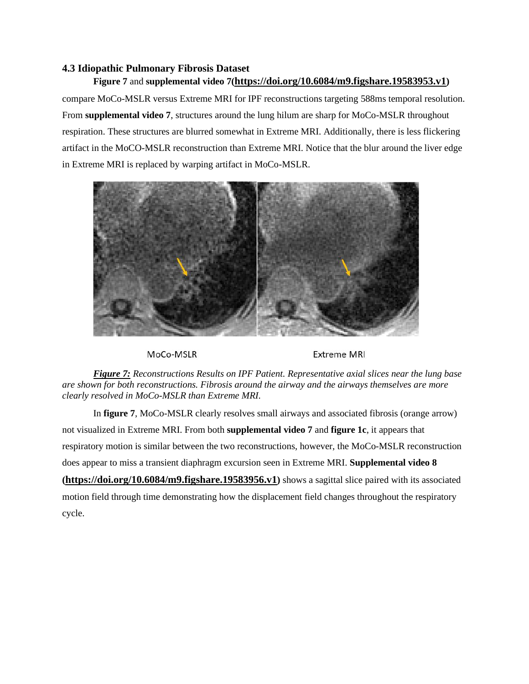# **4.3 Idiopathic Pulmonary Fibrosis Dataset**

# **Figure 7** and **supplemental video 7(<https://doi.org/10.6084/m9.figshare.19583953.v1>)**

compare MoCo-MSLR versus Extreme MRI for IPF reconstructions targeting 588ms temporal resolution. From **supplemental video 7**, structures around the lung hilum are sharp for MoCo-MSLR throughout respiration. These structures are blurred somewhat in Extreme MRI. Additionally, there is less flickering artifact in the MoCO-MSLR reconstruction than Extreme MRI. Notice that the blur around the liver edge in Extreme MRI is replaced by warping artifact in MoCo-MSLR.



MoCo-MSLR

**Extreme MRI** 

*Figure 7: Reconstructions Results on IPF Patient. Representative axial slices near the lung base are shown for both reconstructions. Fibrosis around the airway and the airways themselves are more clearly resolved in MoCo-MSLR than Extreme MRI.*

In **figure 7**, MoCo-MSLR clearly resolves small airways and associated fibrosis (orange arrow) not visualized in Extreme MRI. From both **supplemental video 7** and **figure 1c**, it appears that respiratory motion is similar between the two reconstructions, however, the MoCo-MSLR reconstruction does appear to miss a transient diaphragm excursion seen in Extreme MRI. **Supplemental video 8 (<https://doi.org/10.6084/m9.figshare.19583956.v1>)** shows a sagittal slice paired with its associated motion field through time demonstrating how the displacement field changes throughout the respiratory cycle.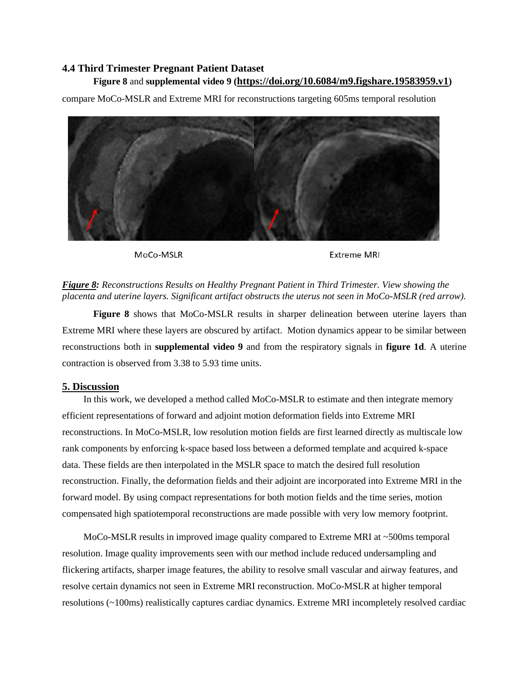### **4.4 Third Trimester Pregnant Patient Dataset**

### **Figure 8** and **supplemental video 9 (<https://doi.org/10.6084/m9.figshare.19583959.v1>)**

compare MoCo-MSLR and Extreme MRI for reconstructions targeting 605ms temporal resolution



MoCo-MSLR

**Extreme MRI** 

*Figure 8: Reconstructions Results on Healthy Pregnant Patient in Third Trimester. View showing the placenta and uterine layers. Significant artifact obstructs the uterus not seen in MoCo-MSLR (red arrow).* 

**Figure 8** shows that MoCo-MSLR results in sharper delineation between uterine layers than Extreme MRI where these layers are obscured by artifact. Motion dynamics appear to be similar between reconstructions both in **supplemental video 9** and from the respiratory signals in **figure 1d**. A uterine contraction is observed from 3.38 to 5.93 time units.

### **5. Discussion**

In this work, we developed a method called MoCo-MSLR to estimate and then integrate memory efficient representations of forward and adjoint motion deformation fields into Extreme MRI reconstructions. In MoCo-MSLR, low resolution motion fields are first learned directly as multiscale low rank components by enforcing k-space based loss between a deformed template and acquired k-space data. These fields are then interpolated in the MSLR space to match the desired full resolution reconstruction. Finally, the deformation fields and their adjoint are incorporated into Extreme MRI in the forward model. By using compact representations for both motion fields and the time series, motion compensated high spatiotemporal reconstructions are made possible with very low memory footprint.

MoCo-MSLR results in improved image quality compared to Extreme MRI at ~500ms temporal resolution. Image quality improvements seen with our method include reduced undersampling and flickering artifacts, sharper image features, the ability to resolve small vascular and airway features, and resolve certain dynamics not seen in Extreme MRI reconstruction. MoCo-MSLR at higher temporal resolutions (~100ms) realistically captures cardiac dynamics. Extreme MRI incompletely resolved cardiac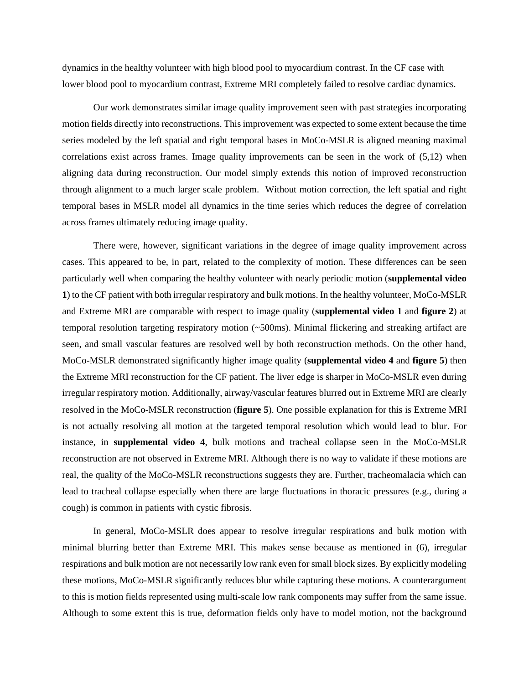dynamics in the healthy volunteer with high blood pool to myocardium contrast. In the CF case with lower blood pool to myocardium contrast, Extreme MRI completely failed to resolve cardiac dynamics.

Our work demonstrates similar image quality improvement seen with past strategies incorporating motion fields directly into reconstructions. This improvement was expected to some extent because the time series modeled by the left spatial and right temporal bases in MoCo-MSLR is aligned meaning maximal correlations exist across frames. Image quality improvements can be seen in the work of (5,12) when aligning data during reconstruction. Our model simply extends this notion of improved reconstruction through alignment to a much larger scale problem. Without motion correction, the left spatial and right temporal bases in MSLR model all dynamics in the time series which reduces the degree of correlation across frames ultimately reducing image quality.

There were, however, significant variations in the degree of image quality improvement across cases. This appeared to be, in part, related to the complexity of motion. These differences can be seen particularly well when comparing the healthy volunteer with nearly periodic motion (**supplemental video 1**) to the CF patient with both irregular respiratory and bulk motions. In the healthy volunteer, MoCo-MSLR and Extreme MRI are comparable with respect to image quality (**supplemental video 1** and **figure 2**) at temporal resolution targeting respiratory motion (~500ms). Minimal flickering and streaking artifact are seen, and small vascular features are resolved well by both reconstruction methods. On the other hand, MoCo-MSLR demonstrated significantly higher image quality (**supplemental video 4** and **figure 5**) then the Extreme MRI reconstruction for the CF patient. The liver edge is sharper in MoCo-MSLR even during irregular respiratory motion. Additionally, airway/vascular features blurred out in Extreme MRI are clearly resolved in the MoCo-MSLR reconstruction (**figure 5**). One possible explanation for this is Extreme MRI is not actually resolving all motion at the targeted temporal resolution which would lead to blur. For instance, in **supplemental video 4**, bulk motions and tracheal collapse seen in the MoCo-MSLR reconstruction are not observed in Extreme MRI. Although there is no way to validate if these motions are real, the quality of the MoCo-MSLR reconstructions suggests they are. Further, tracheomalacia which can lead to tracheal collapse especially when there are large fluctuations in thoracic pressures (e.g., during a cough) is common in patients with cystic fibrosis.

In general, MoCo-MSLR does appear to resolve irregular respirations and bulk motion with minimal blurring better than Extreme MRI. This makes sense because as mentioned in (6), irregular respirations and bulk motion are not necessarily low rank even for small block sizes. By explicitly modeling these motions, MoCo-MSLR significantly reduces blur while capturing these motions. A counterargument to this is motion fields represented using multi-scale low rank components may suffer from the same issue. Although to some extent this is true, deformation fields only have to model motion, not the background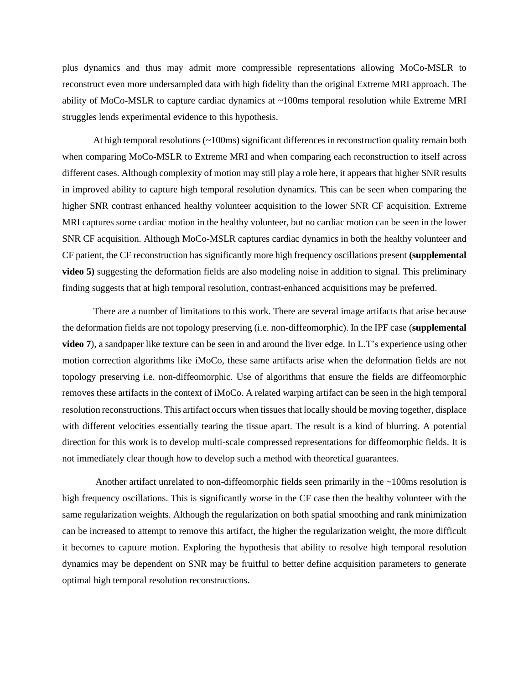plus dynamics and thus may admit more compressible representations allowing MoCo-MSLR to reconstruct even more undersampled data with high fidelity than the original Extreme MRI approach. The ability of MoCo-MSLR to capture cardiac dynamics at ~100ms temporal resolution while Extreme MRI struggles lends experimental evidence to this hypothesis.

At high temporal resolutions (~100ms) significant differences in reconstruction quality remain both when comparing MoCo-MSLR to Extreme MRI and when comparing each reconstruction to itself across different cases. Although complexity of motion may still play a role here, it appears that higher SNR results in improved ability to capture high temporal resolution dynamics. This can be seen when comparing the higher SNR contrast enhanced healthy volunteer acquisition to the lower SNR CF acquisition. Extreme MRI captures some cardiac motion in the healthy volunteer, but no cardiac motion can be seen in the lower SNR CF acquisition. Although MoCo-MSLR captures cardiac dynamics in both the healthy volunteer and CF patient, the CF reconstruction has significantly more high frequency oscillations present **(supplemental video 5)** suggesting the deformation fields are also modeling noise in addition to signal. This preliminary finding suggests that at high temporal resolution, contrast-enhanced acquisitions may be preferred.

There are a number of limitations to this work. There are several image artifacts that arise because the deformation fields are not topology preserving (i.e. non-diffeomorphic). In the IPF case (**supplemental video 7**), a sandpaper like texture can be seen in and around the liver edge. In L.T's experience using other motion correction algorithms like iMoCo, these same artifacts arise when the deformation fields are not topology preserving i.e. non-diffeomorphic. Use of algorithms that ensure the fields are diffeomorphic removes these artifacts in the context of iMoCo. A related warping artifact can be seen in the high temporal resolution reconstructions. This artifact occurs when tissues that locally should be moving together, displace with different velocities essentially tearing the tissue apart. The result is a kind of blurring. A potential direction for this work is to develop multi-scale compressed representations for diffeomorphic fields. It is not immediately clear though how to develop such a method with theoretical guarantees.

 Another artifact unrelated to non-diffeomorphic fields seen primarily in the ~100ms resolution is high frequency oscillations. This is significantly worse in the CF case then the healthy volunteer with the same regularization weights. Although the regularization on both spatial smoothing and rank minimization can be increased to attempt to remove this artifact, the higher the regularization weight, the more difficult it becomes to capture motion. Exploring the hypothesis that ability to resolve high temporal resolution dynamics may be dependent on SNR may be fruitful to better define acquisition parameters to generate optimal high temporal resolution reconstructions.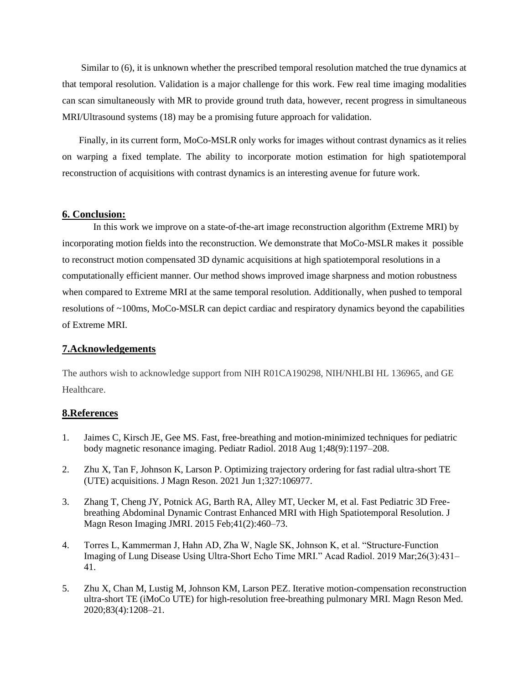Similar to (6), it is unknown whether the prescribed temporal resolution matched the true dynamics at that temporal resolution. Validation is a major challenge for this work. Few real time imaging modalities can scan simultaneously with MR to provide ground truth data, however, recent progress in simultaneous MRI/Ultrasound systems (18) may be a promising future approach for validation.

 Finally, in its current form, MoCo-MSLR only works for images without contrast dynamics as it relies on warping a fixed template. The ability to incorporate motion estimation for high spatiotemporal reconstruction of acquisitions with contrast dynamics is an interesting avenue for future work.

#### **6. Conclusion:**

In this work we improve on a state-of-the-art image reconstruction algorithm (Extreme MRI) by incorporating motion fields into the reconstruction. We demonstrate that MoCo-MSLR makes it possible to reconstruct motion compensated 3D dynamic acquisitions at high spatiotemporal resolutions in a computationally efficient manner. Our method shows improved image sharpness and motion robustness when compared to Extreme MRI at the same temporal resolution. Additionally, when pushed to temporal resolutions of ~100ms, MoCo-MSLR can depict cardiac and respiratory dynamics beyond the capabilities of Extreme MRI.

### **7.Acknowledgements**

The authors wish to acknowledge support from NIH R01CA190298, NIH/NHLBI HL 136965, and GE Healthcare.

#### **8.References**

- 1. Jaimes C, Kirsch JE, Gee MS. Fast, free-breathing and motion-minimized techniques for pediatric body magnetic resonance imaging. Pediatr Radiol. 2018 Aug 1;48(9):1197–208.
- 2. Zhu X, Tan F, Johnson K, Larson P. Optimizing trajectory ordering for fast radial ultra-short TE (UTE) acquisitions. J Magn Reson. 2021 Jun 1;327:106977.
- 3. Zhang T, Cheng JY, Potnick AG, Barth RA, Alley MT, Uecker M, et al. Fast Pediatric 3D Freebreathing Abdominal Dynamic Contrast Enhanced MRI with High Spatiotemporal Resolution. J Magn Reson Imaging JMRI. 2015 Feb;41(2):460–73.
- 4. Torres L, Kammerman J, Hahn AD, Zha W, Nagle SK, Johnson K, et al. "Structure-Function Imaging of Lung Disease Using Ultra-Short Echo Time MRI." Acad Radiol. 2019 Mar;26(3):431– 41.
- 5. Zhu X, Chan M, Lustig M, Johnson KM, Larson PEZ. Iterative motion-compensation reconstruction ultra-short TE (iMoCo UTE) for high-resolution free-breathing pulmonary MRI. Magn Reson Med. 2020;83(4):1208–21.